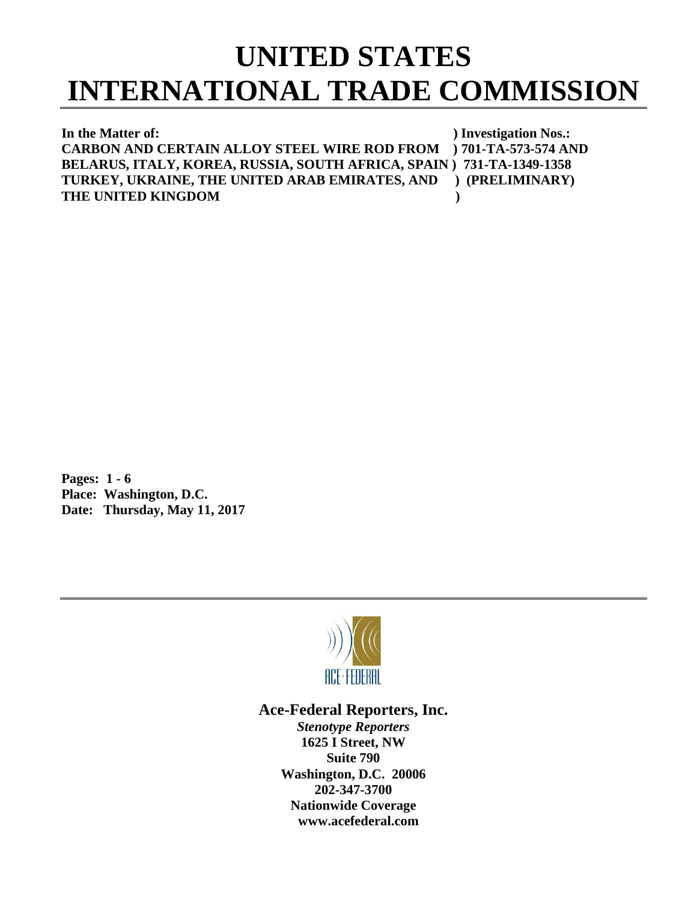# **UNITED STATES INTERNATIONAL TRADE COMMISSION**

**In the Matter of:** ) Investigation Nos.: **CARBON AND CERTAIN ALLOY STEEL WIRE ROD FROM ) 701-TA-573-574 AND BELARUS, ITALY, KOREA, RUSSIA, SOUTH AFRICA, SPAIN ) 731-TA-1349-1358 TURKEY, UKRAINE, THE UNITED ARAB EMIRATES, AND ) (PRELIMINARY) THE UNITED KINGDOM )**

**Pages: 1 - 6 Place: Washington, D.C. Date: Thursday, May 11, 2017**



## **Ace-Federal Reporters, Inc.**

*Stenotype Reporters* **1625 I Street, NW Suite 790 Washington, D.C. 20006 202-347-3700 Nationwide Coverage www.acefederal.com**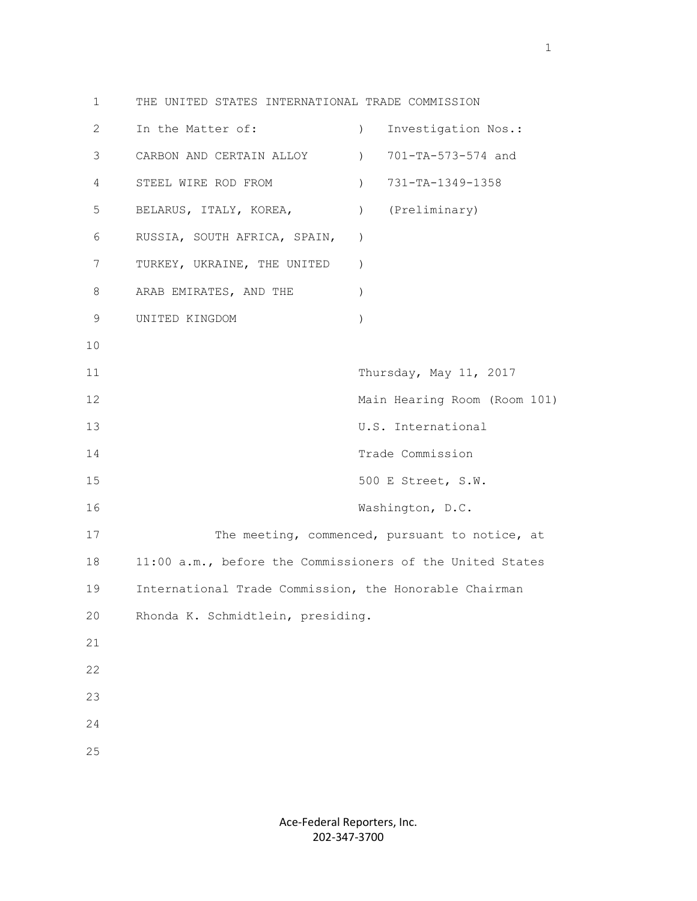1 THE UNITED STATES INTERNATIONAL TRADE COMMISSION 2 In the Matter of: ) Investigation Nos.: 3 CARBON AND CERTAIN ALLOY ) 701-TA-573-574 and 4 STEEL WIRE ROD FROM ) 731-TA-1349-1358 5 BELARUS, ITALY, KOREA, ) (Preliminary) 6 RUSSIA, SOUTH AFRICA, SPAIN, ) 7 TURKEY, UKRAINE, THE UNITED ) 8 ARAB EMIRATES, AND THE ) 9 UNITED KINGDOM ) 10 11 Thursday, May 11, 2017 12 Main Hearing Room (Room 101) 13 U.S. International 14 Trade Commission 15 500 E Street, S.W. 16 Washington, D.C. 17 The meeting, commenced, pursuant to notice, at 18 11:00 a.m., before the Commissioners of the United States 19 International Trade Commission, the Honorable Chairman 20 Rhonda K. Schmidtlein, presiding. 21 22 23 24 25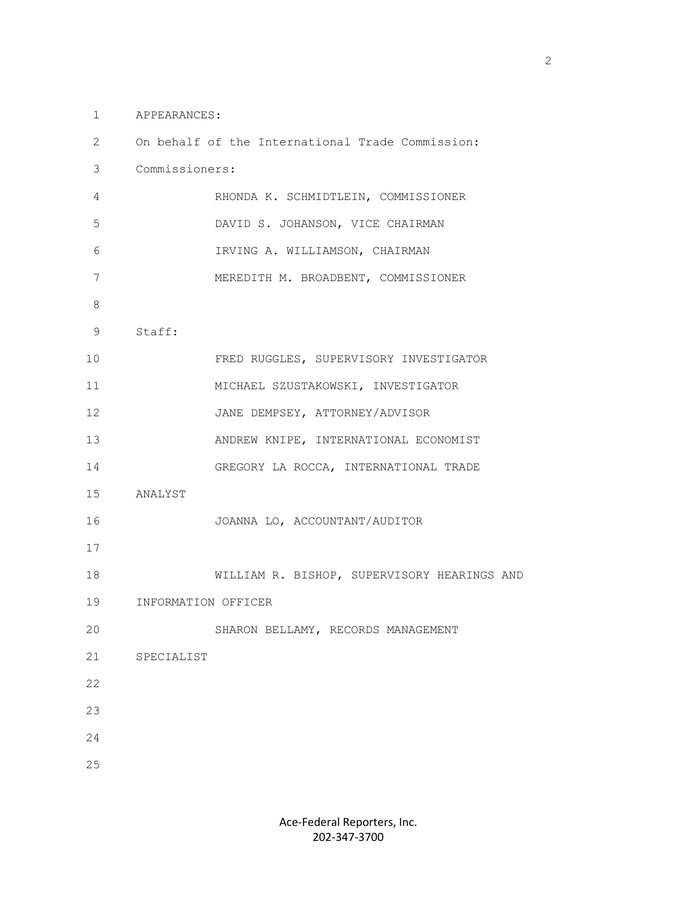#### 1 APPEARANCES:

| 2       |                     | On behalf of the International Trade Commission: |
|---------|---------------------|--------------------------------------------------|
| 3       | Commissioners:      |                                                  |
| 4       |                     | RHONDA K. SCHMIDTLEIN, COMMISSIONER              |
| 5       |                     | DAVID S. JOHANSON, VICE CHAIRMAN                 |
| 6       |                     | IRVING A. WILLIAMSON, CHAIRMAN                   |
| 7       |                     | MEREDITH M. BROADBENT, COMMISSIONER              |
| $\,8\,$ |                     |                                                  |
| 9       | Staff:              |                                                  |
| 10      |                     | FRED RUGGLES, SUPERVISORY INVESTIGATOR           |
| 11      |                     | MICHAEL SZUSTAKOWSKI, INVESTIGATOR               |
| 12      |                     | JANE DEMPSEY, ATTORNEY/ADVISOR                   |
| 13      |                     | ANDREW KNIPE, INTERNATIONAL ECONOMIST            |
| 14      |                     | GREGORY LA ROCCA, INTERNATIONAL TRADE            |
| 15      | ANALYST             |                                                  |
| 16      |                     | JOANNA LO, ACCOUNTANT/AUDITOR                    |
| 17      |                     |                                                  |
| 18      |                     | WILLIAM R. BISHOP, SUPERVISORY HEARINGS AND      |
| 19      | INFORMATION OFFICER |                                                  |
| 20      |                     | SHARON BELLAMY, RECORDS MANAGEMENT               |
| 21      | SPECIALIST          |                                                  |
| 22      |                     |                                                  |
| 23      |                     |                                                  |
| 24      |                     |                                                  |
| 25      |                     |                                                  |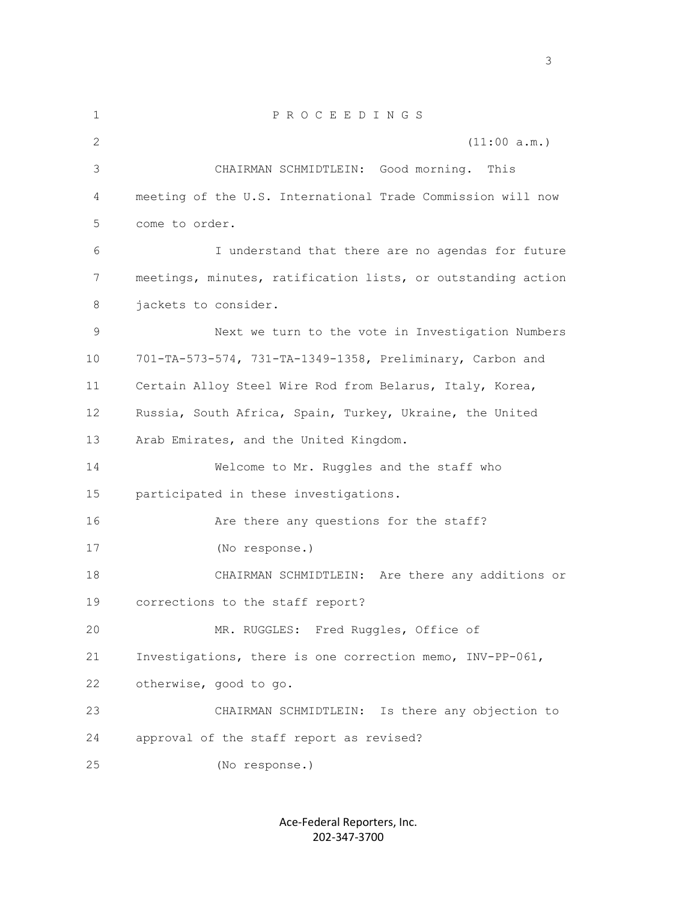1 P R O C E E D I N G S 2 (11:00 a.m.) 3 CHAIRMAN SCHMIDTLEIN: Good morning. This 4 meeting of the U.S. International Trade Commission will now 5 come to order. 6 I understand that there are no agendas for future 7 meetings, minutes, ratification lists, or outstanding action 8 jackets to consider. 9 Next we turn to the vote in Investigation Numbers 10 701-TA-573-574, 731-TA-1349-1358, Preliminary, Carbon and 11 Certain Alloy Steel Wire Rod from Belarus, Italy, Korea, 12 Russia, South Africa, Spain, Turkey, Ukraine, the United 13 Arab Emirates, and the United Kingdom. 14 Welcome to Mr. Ruggles and the staff who 15 participated in these investigations. 16 Are there any questions for the staff? 17 (No response.) 18 CHAIRMAN SCHMIDTLEIN: Are there any additions or 19 corrections to the staff report? 20 MR. RUGGLES: Fred Ruggles, Office of 21 Investigations, there is one correction memo, INV-PP-061, 22 otherwise, good to go. 23 CHAIRMAN SCHMIDTLEIN: Is there any objection to 24 approval of the staff report as revised? 25 (No response.)

> Ace-Federal Reporters, Inc. 202-347-3700

 $\sim$  3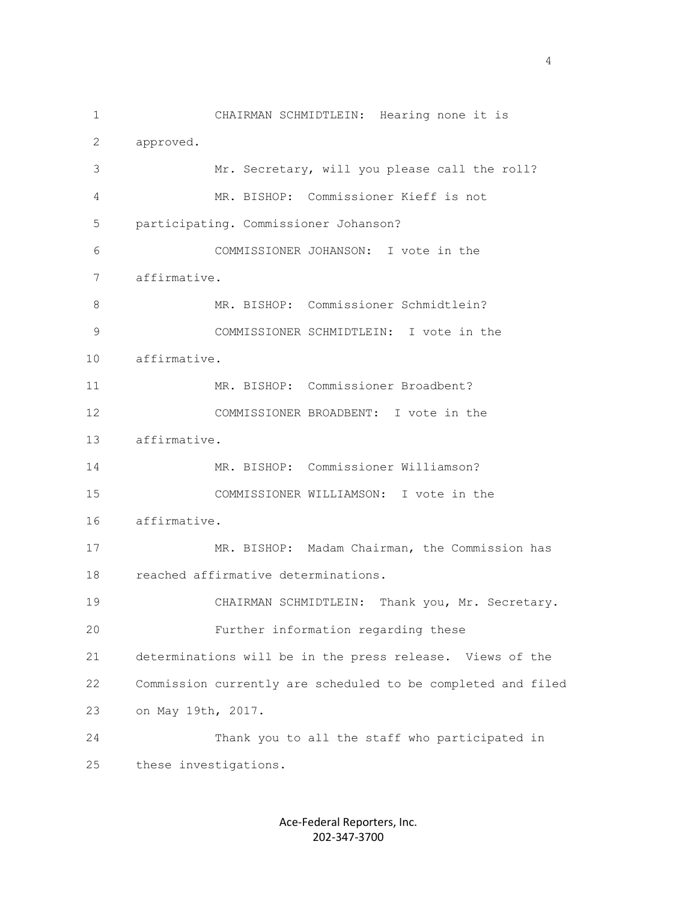1 CHAIRMAN SCHMIDTLEIN: Hearing none it is 2 approved. 3 Mr. Secretary, will you please call the roll? 4 MR. BISHOP: Commissioner Kieff is not 5 participating. Commissioner Johanson? 6 COMMISSIONER JOHANSON: I vote in the 7 affirmative. 8 MR. BISHOP: Commissioner Schmidtlein? 9 COMMISSIONER SCHMIDTLEIN: I vote in the 10 affirmative. 11 MR. BISHOP: Commissioner Broadbent? 12 COMMISSIONER BROADBENT: I vote in the 13 affirmative. 14 MR. BISHOP: Commissioner Williamson? 15 COMMISSIONER WILLIAMSON: I vote in the 16 affirmative. 17 MR. BISHOP: Madam Chairman, the Commission has 18 reached affirmative determinations. 19 CHAIRMAN SCHMIDTLEIN: Thank you, Mr. Secretary. 20 Further information regarding these 21 determinations will be in the press release. Views of the 22 Commission currently are scheduled to be completed and filed 23 on May 19th, 2017. 24 Thank you to all the staff who participated in 25 these investigations.

> Ace-Federal Reporters, Inc. 202-347-3700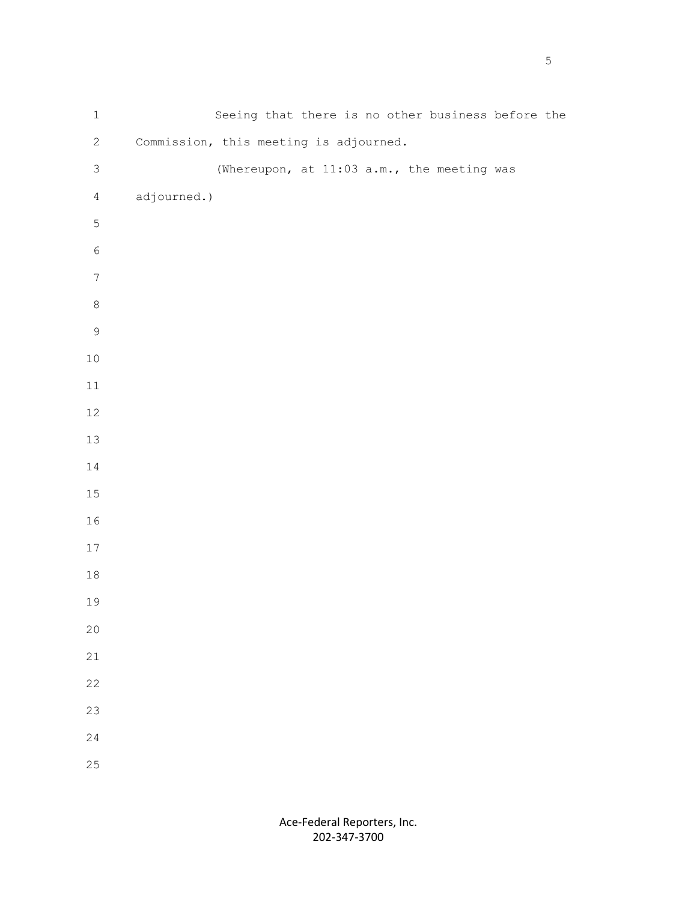| $\ensuremath{\mathbbm{1}}$ |                                        |  |  |  | Seeing that there is no other business before the |  |
|----------------------------|----------------------------------------|--|--|--|---------------------------------------------------|--|
| $\mathbf{2}$               | Commission, this meeting is adjourned. |  |  |  |                                                   |  |
| $\mathfrak{Z}$             |                                        |  |  |  | (Whereupon, at 11:03 a.m., the meeting was        |  |
| $\overline{4}$             | adjourned.)                            |  |  |  |                                                   |  |
| $\mathsf S$                |                                        |  |  |  |                                                   |  |
| $\epsilon$                 |                                        |  |  |  |                                                   |  |
| $\boldsymbol{7}$           |                                        |  |  |  |                                                   |  |
| $\,8\,$                    |                                        |  |  |  |                                                   |  |
| $\mathsf 9$                |                                        |  |  |  |                                                   |  |
| $10$                       |                                        |  |  |  |                                                   |  |
| $11\,$                     |                                        |  |  |  |                                                   |  |
| $12$                       |                                        |  |  |  |                                                   |  |
| 13                         |                                        |  |  |  |                                                   |  |
| $14\,$                     |                                        |  |  |  |                                                   |  |
| $15\,$                     |                                        |  |  |  |                                                   |  |
| 16                         |                                        |  |  |  |                                                   |  |
| $17$                       |                                        |  |  |  |                                                   |  |
| $18\,$                     |                                        |  |  |  |                                                   |  |
| 19                         |                                        |  |  |  |                                                   |  |
| $20$                       |                                        |  |  |  |                                                   |  |
| 21                         |                                        |  |  |  |                                                   |  |
| 22                         |                                        |  |  |  |                                                   |  |
| 23                         |                                        |  |  |  |                                                   |  |
| 24                         |                                        |  |  |  |                                                   |  |
| $25\,$                     |                                        |  |  |  |                                                   |  |